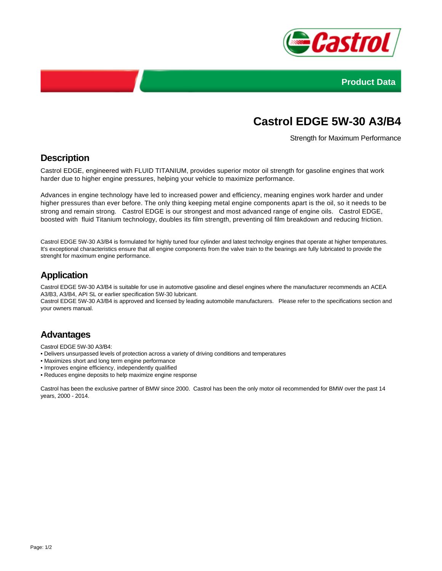



# **Castrol EDGE 5W-30 A3/B4**

Strength for Maximum Performance

#### **Description**

Castrol EDGE, engineered with FLUID TITANIUM, provides superior motor oil strength for gasoline engines that work harder due to higher engine pressures, helping your vehicle to maximize performance.

Advances in engine technology have led to increased power and efficiency, meaning engines work harder and under higher pressures than ever before. The only thing keeping metal engine components apart is the oil, so it needs to be strong and remain strong. Castrol EDGE is our strongest and most advanced range of engine oils. Castrol EDGE, boosted with fluid Titanium technology, doubles its film strength, preventing oil film breakdown and reducing friction.

Castrol EDGE 5W-30 A3/B4 is formulated for highly tuned four cylinder and latest technolgy engines that operate at higher temperatures. It's exceptional characteristics ensure that all engine components from the valve train to the bearings are fully lubricated to provide the strenght for maximum engine performance.

#### **Application**

Castrol EDGE 5W-30 A3/B4 is suitable for use in automotive gasoline and diesel engines where the manufacturer recommends an ACEA A3/B3, A3/B4, API SL or earlier specification 5W-30 lubricant.

Castrol EDGE 5W-30 A3/B4 is approved and licensed by leading automobile manufacturers. Please refer to the specifications section and your owners manual.

#### **Advantages**

Castrol EDGE 5W-30 A3/B4:

- Delivers unsurpassed levels of protection across a variety of driving conditions and temperatures
- Maximizes short and long term engine performance
- Improves engine efficiency, independently qualified
- Reduces engine deposits to help maximize engine response

Castrol has been the exclusive partner of BMW since 2000. Castrol has been the only motor oil recommended for BMW over the past 14 years, 2000 - 2014.